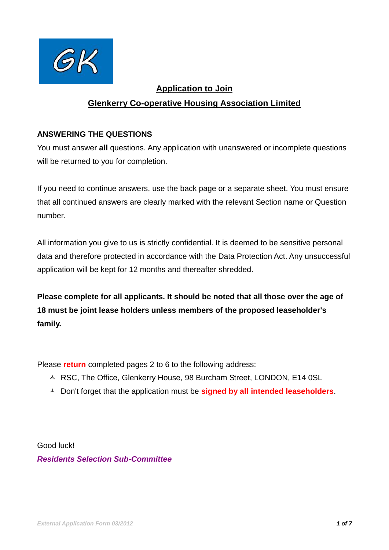

# **Application to Join**

# **Glenkerry Co-operative Housing Association Limited**

### **ANSWERING THE QUESTIONS**

You must answer **all** questions. Any application with unanswered or incomplete questions will be returned to you for completion.

If you need to continue answers, use the back page or a separate sheet. You must ensure that all continued answers are clearly marked with the relevant Section name or Question number.

All information you give to us is strictly confidential. It is deemed to be sensitive personal data and therefore protected in accordance with the Data Protection Act. Any unsuccessful application will be kept for 12 months and thereafter shredded.

**Please complete for all applicants. It should be noted that all those over the age of 18 must be joint lease holders unless members of the proposed leaseholder's family.**

Please **return** completed pages 2 to 6 to the following address:

- A RSC, The Office, Glenkerry House, 98 Burcham Street, LONDON, E14 0SL
- Don't forget that the application must be **signed by all intended leaseholders**.

Good luck! *Residents Selection Sub-Committee*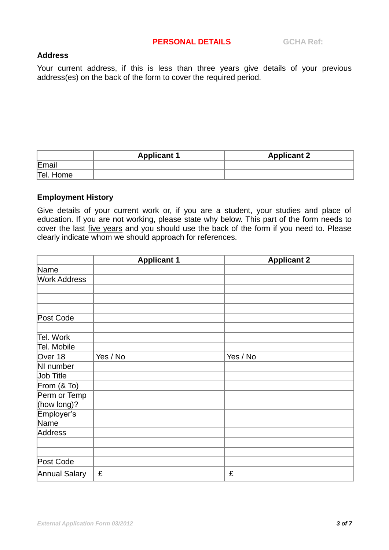#### **Address**

Your current address, if this is less than three years give details of your previous address(es) on the back of the form to cover the required period.

|           | <b>Applicant 1</b> | <b>Applicant 2</b> |
|-----------|--------------------|--------------------|
| Email     |                    |                    |
| Tel. Home |                    |                    |

#### **Employment History**

Give details of your current work or, if you are a student, your studies and place of education. If you are not working, please state why below. This part of the form needs to cover the last five years and you should use the back of the form if you need to. Please clearly indicate whom we should approach for references.

|                      | <b>Applicant 1</b> | <b>Applicant 2</b> |
|----------------------|--------------------|--------------------|
| Name                 |                    |                    |
| <b>Work Address</b>  |                    |                    |
|                      |                    |                    |
|                      |                    |                    |
|                      |                    |                    |
| Post Code            |                    |                    |
|                      |                    |                    |
| Tel. Work            |                    |                    |
| Tel. Mobile          |                    |                    |
| Over 18              | Yes / No           | Yes / No           |
| NI number            |                    |                    |
| Job Title            |                    |                    |
| From $(8$ To)        |                    |                    |
| Perm or Temp         |                    |                    |
| (how long)?          |                    |                    |
| Employer's           |                    |                    |
| Name                 |                    |                    |
| Address              |                    |                    |
|                      |                    |                    |
|                      |                    |                    |
| Post Code            |                    |                    |
| <b>Annual Salary</b> | £                  | £                  |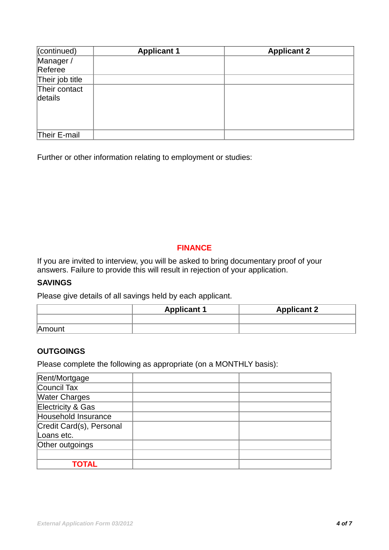| (continued)              | <b>Applicant 1</b> | <b>Applicant 2</b> |
|--------------------------|--------------------|--------------------|
| Manager /                |                    |                    |
| Referee                  |                    |                    |
| Their job title          |                    |                    |
| Their contact<br>details |                    |                    |
| Their E-mail             |                    |                    |

Further or other information relating to employment or studies:

## **FINANCE**

If you are invited to interview, you will be asked to bring documentary proof of your answers. Failure to provide this will result in rejection of your application.

### **SAVINGS**

Please give details of all savings held by each applicant.

|        | <b>Applicant 1</b> | <b>Applicant 2</b> |
|--------|--------------------|--------------------|
|        |                    |                    |
| Amount |                    |                    |

### **OUTGOINGS**

Please complete the following as appropriate (on a MONTHLY basis):

| Rent/Mortgage            |  |
|--------------------------|--|
| Council Tax              |  |
| <b>Water Charges</b>     |  |
| Electricity & Gas        |  |
| Household Insurance      |  |
| Credit Card(s), Personal |  |
| Loans etc.               |  |
| Other outgoings          |  |
|                          |  |
| TOTAL                    |  |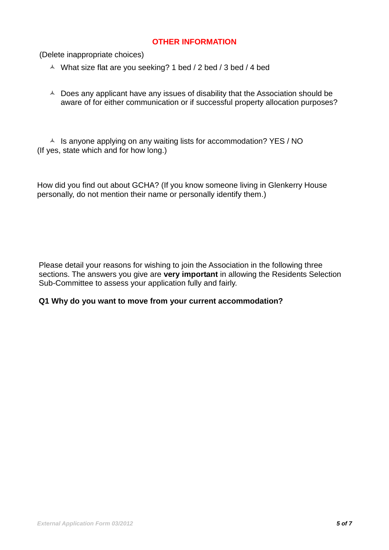#### **OTHER INFORMATION**

(Delete inappropriate choices)

- $\triangle$  What size flat are you seeking? 1 bed / 2 bed / 3 bed / 4 bed
- $\triangle$  Does any applicant have any issues of disability that the Association should be aware of for either communication or if successful property allocation purposes?

 $\triangle$  Is anyone applying on any waiting lists for accommodation? YES / NO (If yes, state which and for how long.)

How did you find out about GCHA? (If you know someone living in Glenkerry House personally, do not mention their name or personally identify them.)

Please detail your reasons for wishing to join the Association in the following three sections. The answers you give are **very important** in allowing the Residents Selection Sub-Committee to assess your application fully and fairly.

#### **Q1 Why do you want to move from your current accommodation?**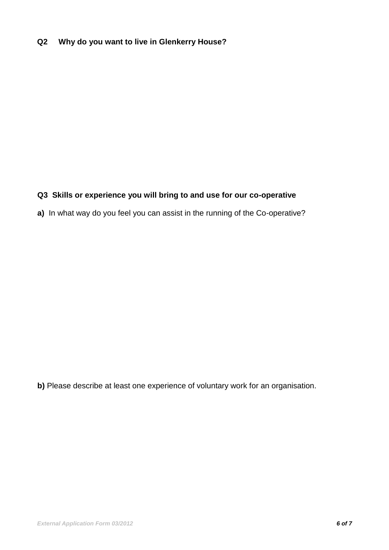# **Q2 Why do you want to live in Glenkerry House?**

### **Q3 Skills or experience you will bring to and use for our co-operative**

**a)** In what way do you feel you can assist in the running of the Co-operative?

**b)** Please describe at least one experience of voluntary work for an organisation.